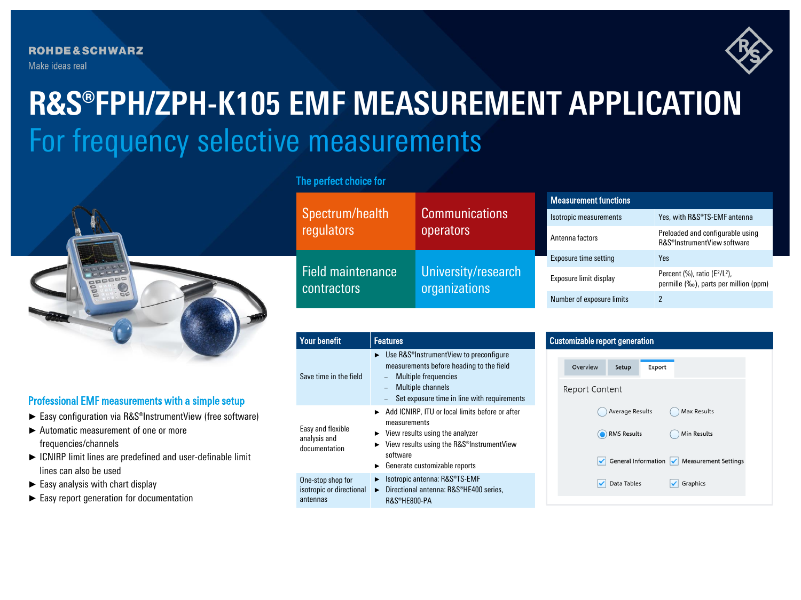

# For frequency selective measurements **R&S®FPH/ZPH-K105 EMF MEASUREMENT APPLICATION**



## Professional EMF measurements with a simple setup

- ► Easy configuration via R&S®InstrumentView (free software)
- ► Automatic measurement of one or more frequencies/channels
- ► ICNIRP limit lines are predefined and user-definable limit lines can also be used
- $\blacktriangleright$  Easy analysis with chart display
- ► Easy report generation for documentation

## The perfect choice for

| Spectrum/health<br>regulators                  | <b>Communications</b><br>operators   | <b>Measurement functions</b> |                                                                               |
|------------------------------------------------|--------------------------------------|------------------------------|-------------------------------------------------------------------------------|
|                                                |                                      | Isotropic measurements       | Yes, with R&S®TS-EMF antenna                                                  |
|                                                |                                      | Antenna factors              | Preloaded and configurable using<br>R&S <sup>®</sup> InstrumentView software  |
| <b>Field maintenance</b><br><b>contractors</b> | University/research<br>organizations | Exposure time setting        | Yes                                                                           |
|                                                |                                      | Exposure limit display       | Percent $(\%)$ , ratio $(E^2/L^2)$ ,<br>permille (‰), parts per million (ppm) |
|                                                |                                      | Number of exposure limits    | 2                                                                             |

| <b>Your benefit</b>                                       | <b>Features</b>                                                                                                                                                                                                                               | <b>Customizable repor</b>           |
|-----------------------------------------------------------|-----------------------------------------------------------------------------------------------------------------------------------------------------------------------------------------------------------------------------------------------|-------------------------------------|
| Save time in the field                                    | $\triangleright$ Use R&S <sup>®</sup> InstrumentView to preconfigure<br>measurements before heading to the field<br>Multiple frequencies<br>Multiple channels<br>Set exposure time in line with requirements                                  | Overview<br>Report Conte            |
| Easy and flexible<br>analysis and<br>documentation        | Add ICNIRP, ITU or local limits before or after<br>measurements<br>$\triangleright$ View results using the analyzer<br>$\triangleright$ View results using the R&S <sup>®</sup> InstrumentView<br>software<br>► Generate customizable reports | A<br>$\bigcirc$ R<br>$\checkmark$ G |
| One-stop shop for<br>isotropic or directional<br>antennas | Isotropic antenna: R&S®TS-EMF<br>▶<br>Directional antenna: R&S®HE400 series,<br>▶.<br>R&S®HE800-PA                                                                                                                                            | C                                   |

## t generation Setup Export ent

| Average Results | Max Results                                                                        |  |
|-----------------|------------------------------------------------------------------------------------|--|
| RMS Results     | Min Results                                                                        |  |
|                 | $\sqrt{\phantom{a}}$ General Information $\sqrt{\phantom{a}}$ Measurement Settings |  |
| Data Tables     | Graphics                                                                           |  |